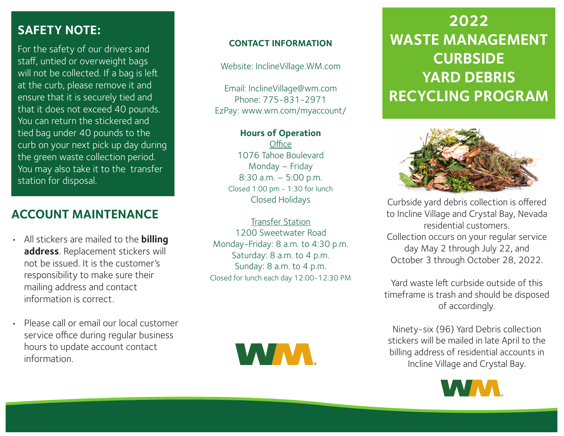## **SAFETY NOTE:**

For the safety of our drivers and staff, untied or overweight bags will not be collected. If a bag is left at the curb, please remove it and ensure that it is securely tied and that it does not exceed 40 pounds. You can return the stickered and tied bag under 40 pounds to the curb on your next pick up day during the green waste collection period. You may also take it to the transfer station for disposal.

# **ACCOUNT MAINTENANCE**

- All stickers are mailed to the **billing address**. Replacement stickers will not be issued. It is the customer's responsibility to make sure their mailing address and contact information is correct.
- Please call or email our local customer service office during regular business hours to update account contact information.

#### **CONTACT INFORMATION**

Website: InclineVillage.WM.com

Email: InclineVillage@wm.com Phone: 775-831-2971 EzPay: www.wm.com/myaccount/

#### **Hours of Operation**

**Office** 1076 Tahoe Boulevard Monday – Friday 8:30 a.m. – 5:00 p.m. Closed 1:00 pm - 1:30 for lunch Closed Holidays

Transfer Station 1200 Sweetwater Road Monday-Friday: 8 a.m. to 4:30 p.m. Saturday: 8 a.m. to 4 p.m. Sunday: 8 a.m. to 4 p.m. Closed for lunch each day 12:00-12:30 PM



# $\overline{202}$ **2022 WASTE MANAGEMENT CURBSIDE YARD DEBRIS RECYCLING PROGRAM**



Curbside yard debris collection is offered to Incline Village and Crystal Bay, Nevada residential customers. Collection occurs on your regular service day May 2 through July 22, and October 3 through October 28, 2022.

Yard waste left curbside outside of this timeframe is trash and should be disposed of accordingly.

Ninety-six (96) Yard Debris collection stickers will be mailed in late April to the billing address of residential accounts in Incline Village and Crystal Bay.